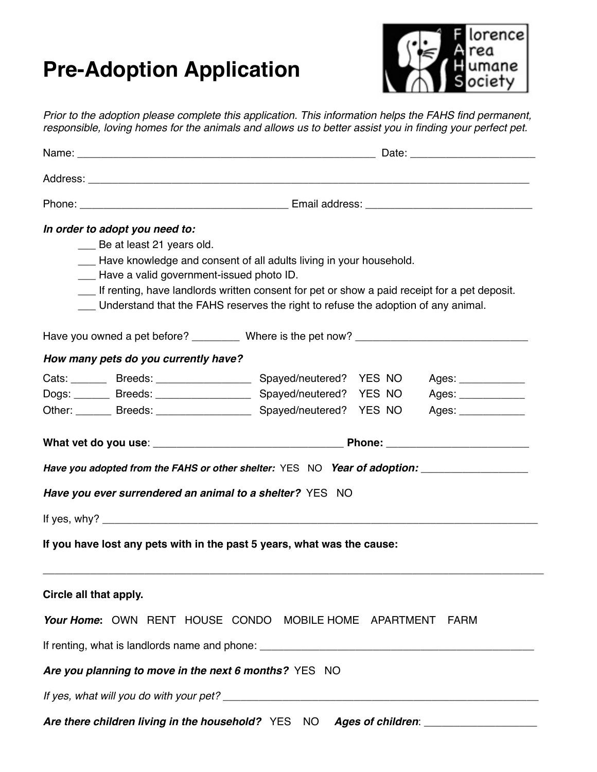## **Pre-Adoption Application**



*Prior to the adoption please complete this application. This information helps the FAHS find permanent, responsible, loving homes for the animals and allows us to better assist you in finding your perfect pet.*

| In order to adopt you need to:<br>__ Be at least 21 years old.<br>Have knowledge and consent of all adults living in your household.<br>- Have a valid government-issued photo ID.<br>If renting, have landlords written consent for pet or show a paid receipt for a pet deposit.<br>__ Understand that the FAHS reserves the right to refuse the adoption of any animal.                                                 |  |  |                                                                   |  |  |  |  |  |
|----------------------------------------------------------------------------------------------------------------------------------------------------------------------------------------------------------------------------------------------------------------------------------------------------------------------------------------------------------------------------------------------------------------------------|--|--|-------------------------------------------------------------------|--|--|--|--|--|
|                                                                                                                                                                                                                                                                                                                                                                                                                            |  |  |                                                                   |  |  |  |  |  |
| How many pets do you currently have?<br>Cats: _______ Breeds: _________________ Spayed/neutered? YES NO<br>Dogs: _______ Breeds: __________________ Spayed/neutered? YES NO<br>Have you adopted from the FAHS or other shelter: YES NO Year of adoption: __________________________<br>Have you ever surrendered an animal to a shelter? YES NO<br>If you have lost any pets with in the past 5 years, what was the cause: |  |  | Ages: _____________<br>Ages: _____________<br>Ages: _____________ |  |  |  |  |  |
| Circle all that apply.<br>Your Home: OWN RENT HOUSE CONDO MOBILE HOME APARTMENT<br>Are you planning to move in the next 6 months? YES NO                                                                                                                                                                                                                                                                                   |  |  | FARM                                                              |  |  |  |  |  |
| Are there children living in the household? YES NO Ages of children: __________________                                                                                                                                                                                                                                                                                                                                    |  |  |                                                                   |  |  |  |  |  |